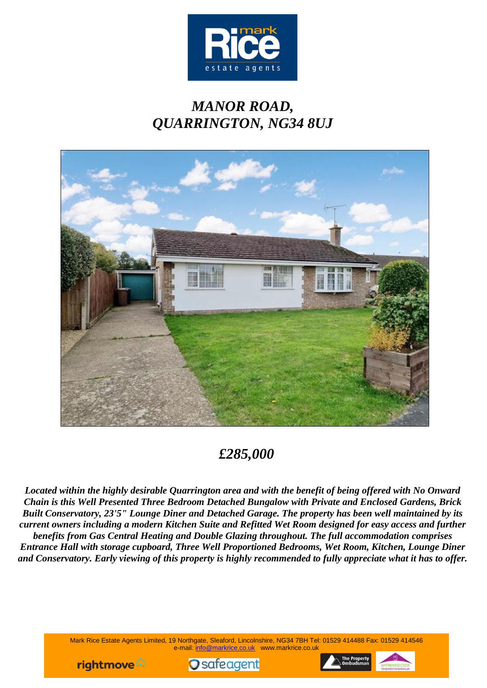

# *MANOR ROAD, QUARRINGTON, NG34 8UJ*



# *£285,000*

*Located within the highly desirable Quarrington area and with the benefit of being offered with No Onward Chain is this Well Presented Three Bedroom Detached Bungalow with Private and Enclosed Gardens, Brick Built Conservatory, 23'5" Lounge Diner and Detached Garage. The property has been well maintained by its current owners including a modern Kitchen Suite and Refitted Wet Room designed for easy access and further benefits from Gas Central Heating and Double Glazing throughout. The full accommodation comprises Entrance Hall with storage cupboard, Three Well Proportioned Bedrooms, Wet Room, Kitchen, Lounge Diner and Conservatory. Early viewing of this property is highly recommended to fully appreciate what it has to offer.*

> Mark Rice Estate Agents Limited, 19 Northgate, Sleaford, Lincolnshire, NG34 7BH Tel: 01529 414488 Fax: 01529 414546 e-mail: info@markrice.co.uk www.markrice.co.uk





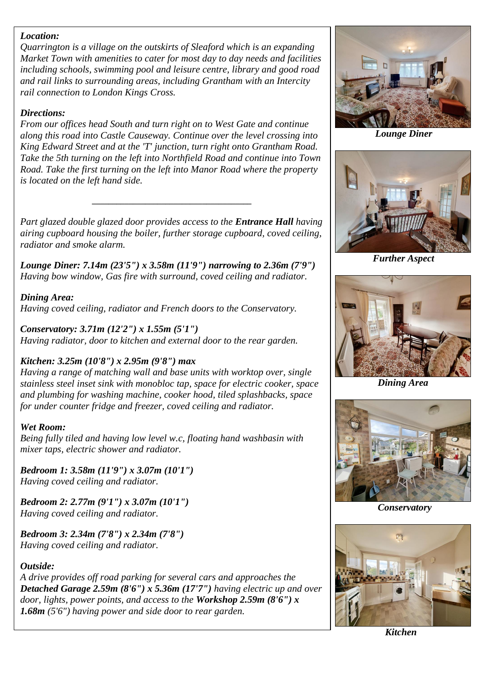# *Location:*

*Quarrington is a village on the outskirts of Sleaford which is an expanding Market Town with amenities to cater for most day to day needs and facilities including schools, swimming pool and leisure centre, library and good road and rail links to surrounding areas, including Grantham with an Intercity rail connection to London Kings Cross.*

#### *Directions:*

*From our offices head South and turn right on to West Gate and continue along this road into Castle Causeway. Continue over the level crossing into King Edward Street and at the 'T' junction, turn right onto Grantham Road. Take the 5th turning on the left into Northfield Road and continue into Town Road. Take the first turning on the left into Manor Road where the property is located on the left hand side.*

*Part glazed double glazed door provides access to the Entrance Hall having airing cupboard housing the boiler, further storage cupboard, coved ceiling, radiator and smoke alarm.*

*\_\_\_\_\_\_\_\_\_\_\_\_\_\_\_\_\_\_\_\_\_\_\_\_\_\_\_\_\_\_\_\_\_\_\_\_\_\_\_*

*Lounge Diner: 7.14m (23'5") x 3.58m (11'9") narrowing to 2.36m (7'9") Having bow window, Gas fire with surround, coved ceiling and radiator.*

*Dining Area: Having coved ceiling, radiator and French doors to the Conservatory.*

*Conservatory: 3.71m (12'2") x 1.55m (5'1") Having radiator, door to kitchen and external door to the rear garden.*

# *Kitchen: 3.25m (10'8") x 2.95m (9'8") max*

*Having a range of matching wall and base units with worktop over, single stainless steel inset sink with monobloc tap, space for electric cooker, space and plumbing for washing machine, cooker hood, tiled splashbacks, space for under counter fridge and freezer, coved ceiling and radiator.*

# *Wet Room:*

*Being fully tiled and having low level w.c, floating hand washbasin with mixer taps, electric shower and radiator.*

*Bedroom 1: 3.58m (11'9") x 3.07m (10'1") Having coved ceiling and radiator.*

*Bedroom 2: 2.77m (9'1") x 3.07m (10'1") Having coved ceiling and radiator.*

*Bedroom 3: 2.34m (7'8") x 2.34m (7'8") Having coved ceiling and radiator.*

# *Outside:*

*A drive provides off road parking for several cars and approaches the Detached Garage 2.59m (8'6") x 5.36m (17'7") having electric up and over door, lights, power points, and access to the Workshop 2.59m (8'6") x 1.68m (5'6") having power and side door to rear garden.*



*Lounge Diner*



*Further Aspect*



 *Dining Area*



 *Conservatory*



 *Kitchen*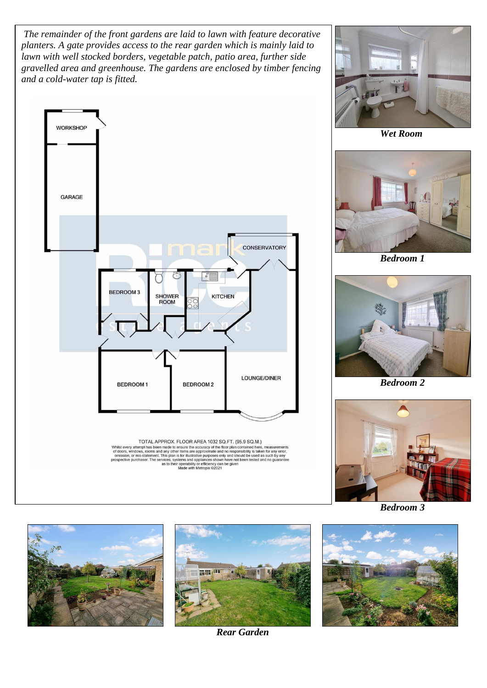*The remainder of the front gardens are laid to lawn with feature decorative planters. A gate provides access to the rear garden which is mainly laid to lawn with well stocked borders, vegetable patch, patio area, further side gravelled area and greenhouse. The gardens are enclosed by timber fencing and a cold-water tap is fitted.*





 *Wet Room*



 *Bedroom 1*



 *Bedroom 2*



 *Bedroom 3*



*Rear Garden*